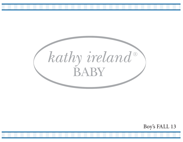

Boy's FALL 13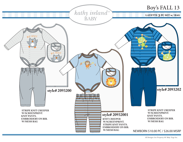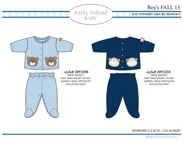





style# 2093208 KNIT SNAP FRONT JACKET ANIMAL HEAD APPLIQUES W/FOOTED PANT





 KNIT SNAP FRONT JACKET ANIMAL HEAD APPLIQUES W/FOOTED PANT

NEWBORN \$12.00 PC / \$32.30 MSRP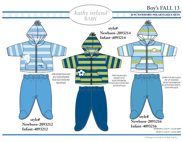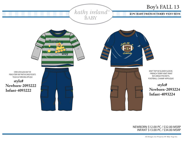

INFANT \$13.00 PC / \$34.00 MSRP NEWBORN \$12.00 PC / \$32.00 MSRP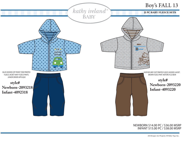

INFANT \$15.00 PC / \$38.00 MSRP NEWBORN \$14.00 PC / \$36.00 MSRP